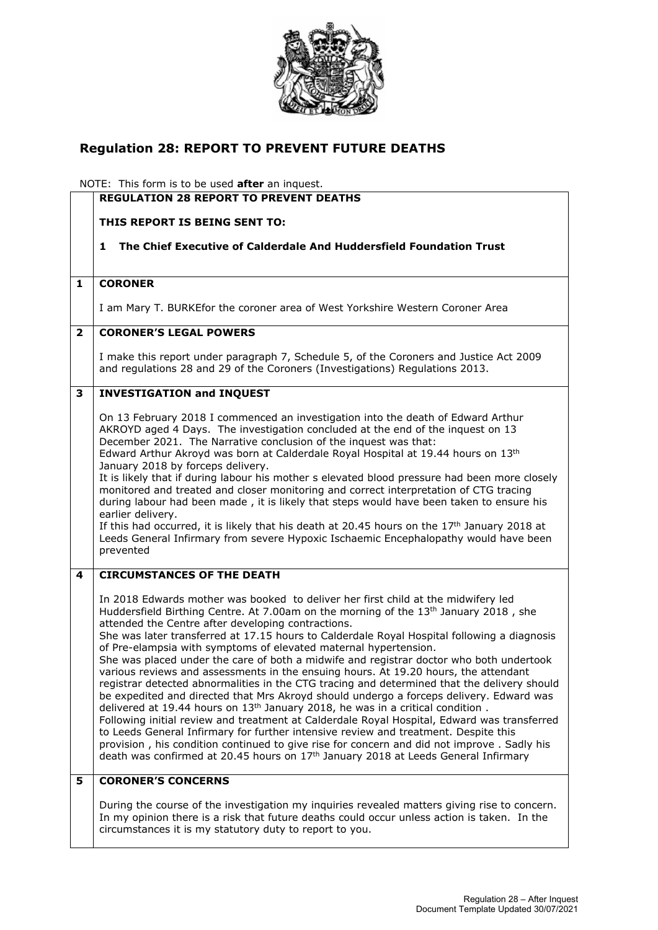

## **Regulation 28: REPORT TO PREVENT FUTURE DEATHS**

NOTE: This form is to be used **after** an inquest.

|                         | <b>REGULATION 28 REPORT TO PREVENT DEATHS</b>                                                                                                                                                                                                                                                                                                                                                                                                                                                                                                                                                                                                                                                                                                                                                                                                                                                                                                                                                                                                                                                                                                                                                                                                                                  |
|-------------------------|--------------------------------------------------------------------------------------------------------------------------------------------------------------------------------------------------------------------------------------------------------------------------------------------------------------------------------------------------------------------------------------------------------------------------------------------------------------------------------------------------------------------------------------------------------------------------------------------------------------------------------------------------------------------------------------------------------------------------------------------------------------------------------------------------------------------------------------------------------------------------------------------------------------------------------------------------------------------------------------------------------------------------------------------------------------------------------------------------------------------------------------------------------------------------------------------------------------------------------------------------------------------------------|
|                         | THIS REPORT IS BEING SENT TO:                                                                                                                                                                                                                                                                                                                                                                                                                                                                                                                                                                                                                                                                                                                                                                                                                                                                                                                                                                                                                                                                                                                                                                                                                                                  |
|                         | The Chief Executive of Calderdale And Huddersfield Foundation Trust<br>1                                                                                                                                                                                                                                                                                                                                                                                                                                                                                                                                                                                                                                                                                                                                                                                                                                                                                                                                                                                                                                                                                                                                                                                                       |
|                         |                                                                                                                                                                                                                                                                                                                                                                                                                                                                                                                                                                                                                                                                                                                                                                                                                                                                                                                                                                                                                                                                                                                                                                                                                                                                                |
| 1                       | <b>CORONER</b>                                                                                                                                                                                                                                                                                                                                                                                                                                                                                                                                                                                                                                                                                                                                                                                                                                                                                                                                                                                                                                                                                                                                                                                                                                                                 |
|                         | I am Mary T. BURKEfor the coroner area of West Yorkshire Western Coroner Area                                                                                                                                                                                                                                                                                                                                                                                                                                                                                                                                                                                                                                                                                                                                                                                                                                                                                                                                                                                                                                                                                                                                                                                                  |
| $\overline{\mathbf{2}}$ | <b>CORONER'S LEGAL POWERS</b>                                                                                                                                                                                                                                                                                                                                                                                                                                                                                                                                                                                                                                                                                                                                                                                                                                                                                                                                                                                                                                                                                                                                                                                                                                                  |
|                         | I make this report under paragraph 7, Schedule 5, of the Coroners and Justice Act 2009<br>and regulations 28 and 29 of the Coroners (Investigations) Regulations 2013.                                                                                                                                                                                                                                                                                                                                                                                                                                                                                                                                                                                                                                                                                                                                                                                                                                                                                                                                                                                                                                                                                                         |
| 3                       | <b>INVESTIGATION and INQUEST</b>                                                                                                                                                                                                                                                                                                                                                                                                                                                                                                                                                                                                                                                                                                                                                                                                                                                                                                                                                                                                                                                                                                                                                                                                                                               |
|                         | On 13 February 2018 I commenced an investigation into the death of Edward Arthur<br>AKROYD aged 4 Days. The investigation concluded at the end of the inquest on 13<br>December 2021. The Narrative conclusion of the inquest was that:<br>Edward Arthur Akroyd was born at Calderdale Royal Hospital at 19.44 hours on 13th<br>January 2018 by forceps delivery.<br>It is likely that if during labour his mother s elevated blood pressure had been more closely<br>monitored and treated and closer monitoring and correct interpretation of CTG tracing<br>during labour had been made, it is likely that steps would have been taken to ensure his<br>earlier delivery.                                                                                                                                                                                                                                                                                                                                                                                                                                                                                                                                                                                                   |
|                         | If this had occurred, it is likely that his death at 20.45 hours on the $17th$ January 2018 at<br>Leeds General Infirmary from severe Hypoxic Ischaemic Encephalopathy would have been<br>prevented                                                                                                                                                                                                                                                                                                                                                                                                                                                                                                                                                                                                                                                                                                                                                                                                                                                                                                                                                                                                                                                                            |
| 4                       | <b>CIRCUMSTANCES OF THE DEATH</b>                                                                                                                                                                                                                                                                                                                                                                                                                                                                                                                                                                                                                                                                                                                                                                                                                                                                                                                                                                                                                                                                                                                                                                                                                                              |
|                         | In 2018 Edwards mother was booked to deliver her first child at the midwifery led<br>Huddersfield Birthing Centre. At 7.00am on the morning of the 13 <sup>th</sup> January 2018, she<br>attended the Centre after developing contractions.<br>She was later transferred at 17.15 hours to Calderdale Royal Hospital following a diagnosis<br>of Pre-elampsia with symptoms of elevated maternal hypertension.<br>She was placed under the care of both a midwife and registrar doctor who both undertook<br>various reviews and assessments in the ensuing hours. At 19.20 hours, the attendant<br>registrar detected abnormalities in the CTG tracing and determined that the delivery should<br>be expedited and directed that Mrs Akroyd should undergo a forceps delivery. Edward was<br>delivered at 19.44 hours on 13 <sup>th</sup> January 2018, he was in a critical condition.<br>Following initial review and treatment at Calderdale Royal Hospital, Edward was transferred<br>to Leeds General Infirmary for further intensive review and treatment. Despite this<br>provision, his condition continued to give rise for concern and did not improve. Sadly his<br>death was confirmed at 20.45 hours on 17 <sup>th</sup> January 2018 at Leeds General Infirmary |
| 5                       | <b>CORONER'S CONCERNS</b>                                                                                                                                                                                                                                                                                                                                                                                                                                                                                                                                                                                                                                                                                                                                                                                                                                                                                                                                                                                                                                                                                                                                                                                                                                                      |
|                         | During the course of the investigation my inquiries revealed matters giving rise to concern.<br>In my opinion there is a risk that future deaths could occur unless action is taken. In the<br>circumstances it is my statutory duty to report to you.                                                                                                                                                                                                                                                                                                                                                                                                                                                                                                                                                                                                                                                                                                                                                                                                                                                                                                                                                                                                                         |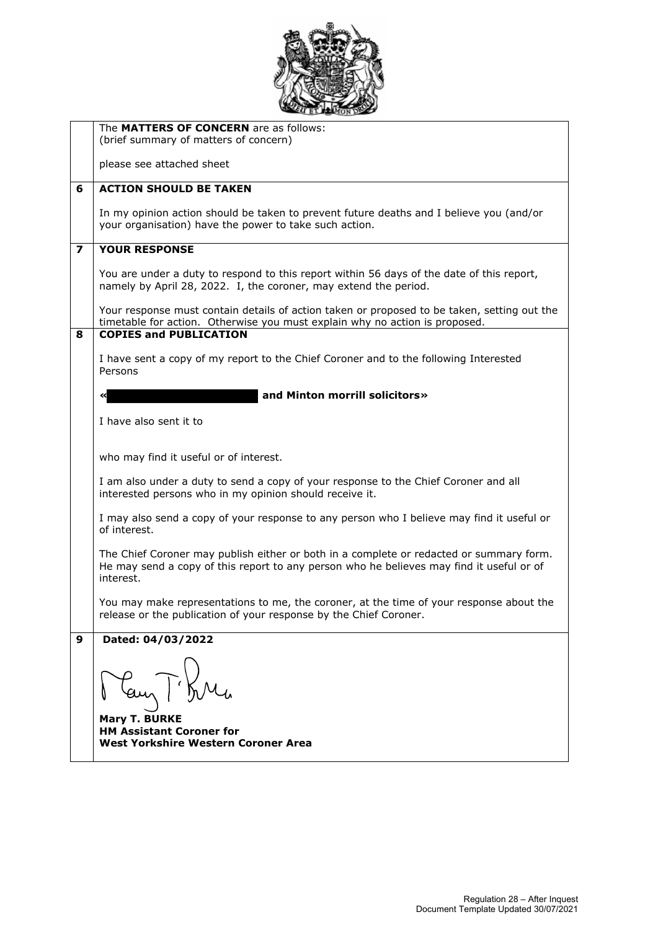

|                         | The MATTERS OF CONCERN are as follows:                                                                                                                                                           |
|-------------------------|--------------------------------------------------------------------------------------------------------------------------------------------------------------------------------------------------|
|                         | (brief summary of matters of concern)                                                                                                                                                            |
|                         | please see attached sheet                                                                                                                                                                        |
| 6                       | <b>ACTION SHOULD BE TAKEN</b>                                                                                                                                                                    |
|                         | In my opinion action should be taken to prevent future deaths and I believe you (and/or<br>your organisation) have the power to take such action.                                                |
| $\overline{\mathbf{z}}$ | <b>YOUR RESPONSE</b>                                                                                                                                                                             |
|                         | You are under a duty to respond to this report within 56 days of the date of this report,<br>namely by April 28, 2022. I, the coroner, may extend the period.                                    |
|                         | Your response must contain details of action taken or proposed to be taken, setting out the<br>timetable for action. Otherwise you must explain why no action is proposed.                       |
| 8                       | <b>COPIES and PUBLICATION</b>                                                                                                                                                                    |
|                         | I have sent a copy of my report to the Chief Coroner and to the following Interested<br>Persons                                                                                                  |
|                         | and Minton morrill solicitors»                                                                                                                                                                   |
|                         | I have also sent it to                                                                                                                                                                           |
|                         |                                                                                                                                                                                                  |
|                         | who may find it useful or of interest.                                                                                                                                                           |
|                         | I am also under a duty to send a copy of your response to the Chief Coroner and all<br>interested persons who in my opinion should receive it.                                                   |
|                         | I may also send a copy of your response to any person who I believe may find it useful or<br>of interest.                                                                                        |
|                         | The Chief Coroner may publish either or both in a complete or redacted or summary form.<br>He may send a copy of this report to any person who he believes may find it useful or of<br>interest. |
|                         | You may make representations to me, the coroner, at the time of your response about the<br>release or the publication of your response by the Chief Coroner.                                     |
| 9                       | Dated: 04/03/2022                                                                                                                                                                                |
|                         | May T. Bru                                                                                                                                                                                       |
|                         | <b>Mary T. BURKE</b><br><b>HM Assistant Coroner for</b><br>West Yorkshire Western Coroner Area                                                                                                   |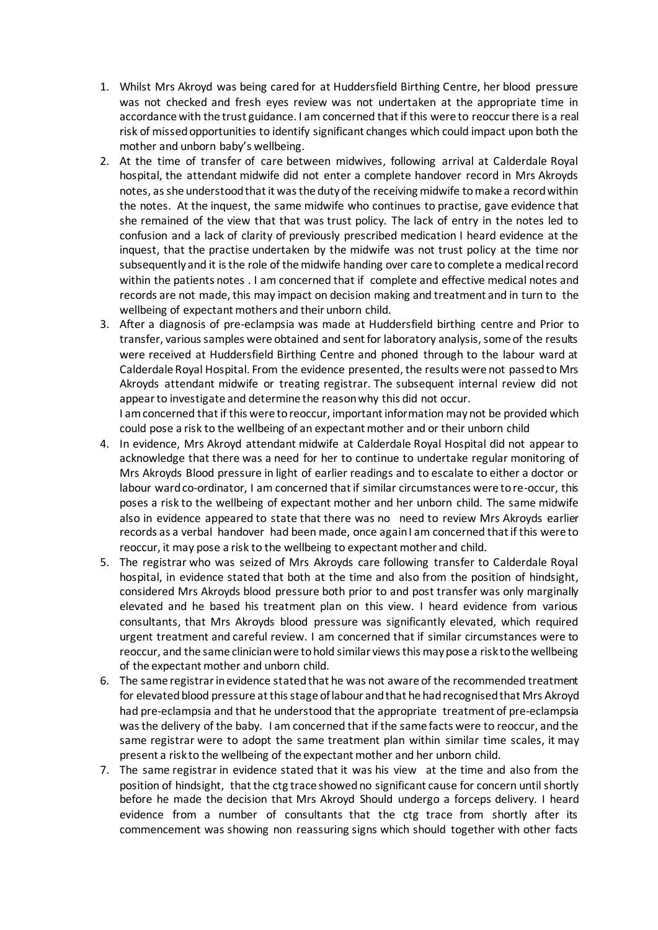- 1. Whilst Mrs Akroyd was being cared for at Huddersfield Birthing Centre, her blood pressure was not checked and fresh eyes review was not undertaken at the appropriate time in accordance with the trust guidance. I am concerned that if this were to reoccur there is a real risk of missed opportunities to identify significant changes which could impact upon both the mother and unborn baby's wellbeing.
- 2. At the time of transfer of care between midwives, following arrival at Calderdale Royal hospital, the attendant midwife did not enter a complete handover record in Mrs Akroyds notes, as she understood that it was the duty of the receiving midwife to make a record within the notes. At the inquest, the same midwife who continues to practise, gave evidence that she remained of the view that that was trust policy. The lack of entry in the notes led to confusion and a lack of clarity of previously prescribed medication I heard evidence at the inquest, that the practise undertaken by the midwife was not trust policy at the time nor subsequently and it is the role of the midwife handing over care to complete a medical record within the patients notes . I am concerned that if complete and effective medical notes and records are not made, this may impact on decision making and treatment and in turn to the wellbeing of expectant mothers and their unborn child.
- 3. After a diagnosis of pre-eclampsia was made at Huddersfield birthing centre and Prior to transfer, various samples were obtained and sent for laboratory analysis, some of the results were received at Huddersfield Birthing Centre and phoned through to the labour ward at Calderdale Royal Hospital. From the evidence presented, the results were not passed to Mrs Akroyds attendant midwife or treating registrar. The subsequent internal review did not appear to investigate and determine the reason why this did not occur.

I am concerned that if this were to reoccur, important information may not be provided which could pose a risk to the wellbeing of an expectant mother and or their unborn child

- 4. In evidence, Mrs Akroyd attendant midwife at Calderdale Royal Hospital did not appear to acknowledge that there was a need for her to continue to undertake regular monitoring of Mrs Akroyds Blood pressure in light of earlier readings and to escalate to either a doctor or labour ward co-ordinator, I am concerned that if similar circumstances were to re-occur, this poses a risk to the wellbeing of expectant mother and her unborn child. The same midwife also in evidence appeared to state that there was no need to review Mrs Akroyds earlier records as a verbal handover had been made, once again I am concerned that if this were to reoccur, it may pose a risk to the wellbeing to expectant mother and child.
- 5. The registrar who was seized of Mrs Akroyds care following transfer to Calderdale Royal hospital, in evidence stated that both at the time and also from the position of hindsight, considered Mrs Akroyds blood pressure both prior to and post transfer was only marginally elevated and he based his treatment plan on this view. I heard evidence from various consultants, that Mrs Akroyds blood pressure was significantly elevated, which required urgent treatment and careful review. I am concerned that if similar circumstances were to reoccur, and the same clinician were to hold similar views this may pose a risk to the wellbeing of the expectant mother and unborn child.
- 6. The same registrar in evidence stated that he was not aware of the recommended treatment for elevated blood pressure at this stage of labour and that he had recognised that Mrs Akroyd had pre-eclampsia and that he understood that the appropriate treatment of pre-eclampsia was the delivery of the baby. I am concerned that if the same facts were to reoccur, and the same registrar were to adopt the same treatment plan within similar time scales, it may present a risk to the wellbeing of the expectant mother and her unborn child.
- 7. The same registrar in evidence stated that it was his view at the time and also from the position of hindsight, that the ctg trace showed no significant cause for concern until shortly before he made the decision that Mrs Akroyd Should undergo a forceps delivery. I heard evidence from a number of consultants that the ctg trace from shortly after its commencement was showing non reassuring signs which should together with other facts